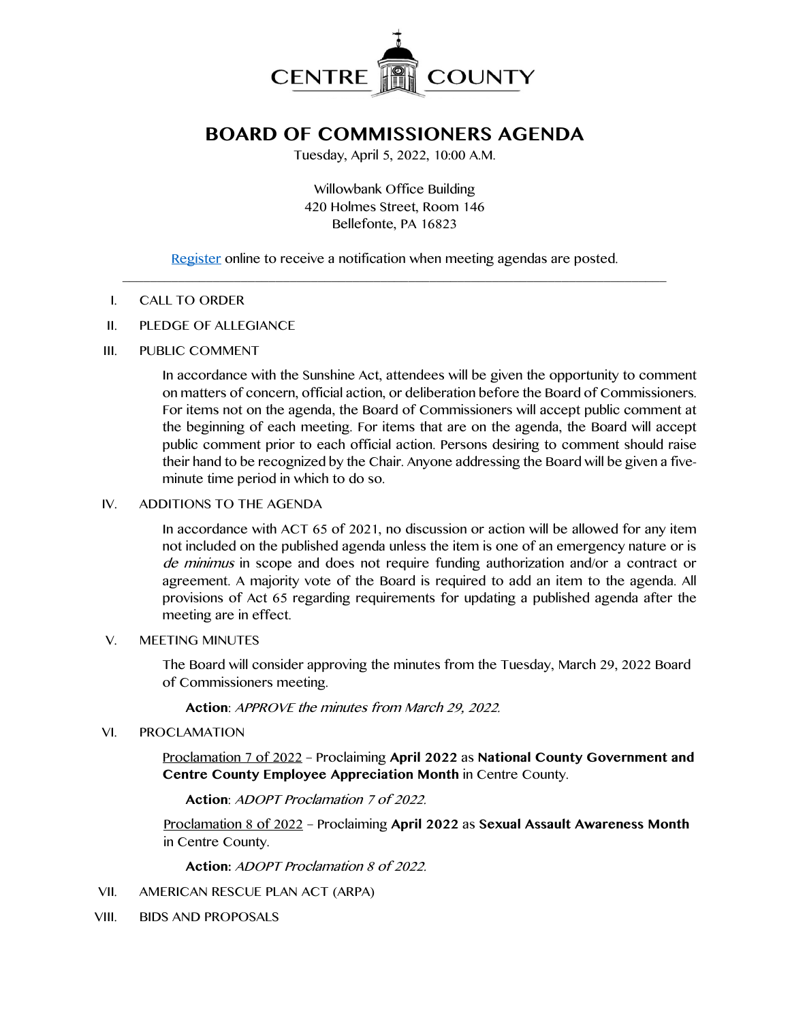

# **BOARD OF COMMISSIONERS AGENDA**

Tuesday, April 5, 2022, 10:00 A.M.

Willowbank Office Building 420 Holmes Street, Room 146 Bellefonte, PA 16823

[Register](http://www.centrecountypa.gov/AgendaCenter) online to receive a notification when meeting agendas are posted.  $\mathcal{L} = \{ \mathcal{L} = \{ \mathcal{L} \mid \mathcal{L} = \{ \mathcal{L} \mid \mathcal{L} = \{ \mathcal{L} \mid \mathcal{L} = \{ \mathcal{L} \mid \mathcal{L} = \{ \mathcal{L} \mid \mathcal{L} = \{ \mathcal{L} \mid \mathcal{L} = \{ \mathcal{L} \mid \mathcal{L} = \{ \mathcal{L} \mid \mathcal{L} = \{ \mathcal{L} \mid \mathcal{L} = \{ \mathcal{L} \mid \mathcal{L} = \{ \mathcal{L} \mid \mathcal{L} = \{ \mathcal{L} \mid \mathcal{L} =$ 

## I. CALL TO ORDER

II. PLEDGE OF ALLEGIANCE

## III. PUBLIC COMMENT

In accordance with the Sunshine Act, attendees will be given the opportunity to comment on matters of concern, official action, or deliberation before the Board of Commissioners. For items not on the agenda, the Board of Commissioners will accept public comment at the beginning of each meeting. For items that are on the agenda, the Board will accept public comment prior to each official action. Persons desiring to comment should raise their hand to be recognized by the Chair. Anyone addressing the Board will be given a fiveminute time period in which to do so.

## IV. ADDITIONS TO THE AGENDA

In accordance with ACT 65 of 2021, no discussion or action will be allowed for any item not included on the published agenda unless the item is one of an emergency nature or is de minimus in scope and does not require funding authorization and/or a contract or agreement. A majority vote of the Board is required to add an item to the agenda. All provisions of Act 65 regarding requirements for updating a published agenda after the meeting are in effect.

#### V. MEETING MINUTES

The Board will consider approving the minutes from the Tuesday, March 29, 2022 Board of Commissioners meeting.

**Action**: APPROVE the minutes from March 29, 2022.

#### VI. PROCLAMATION

Proclamation 7 of 2022 – Proclaiming **April 2022** as **National County Government and Centre County Employee Appreciation Month** in Centre County.

**Action**: ADOPT Proclamation 7 of 2022.

Proclamation 8 of 2022 – Proclaiming **April 2022** as **Sexual Assault Awareness Month** in Centre County.

**Action:** ADOPT Proclamation 8 of 2022.

- VII. AMERICAN RESCUE PLAN ACT (ARPA)
- VIII. BIDS AND PROPOSALS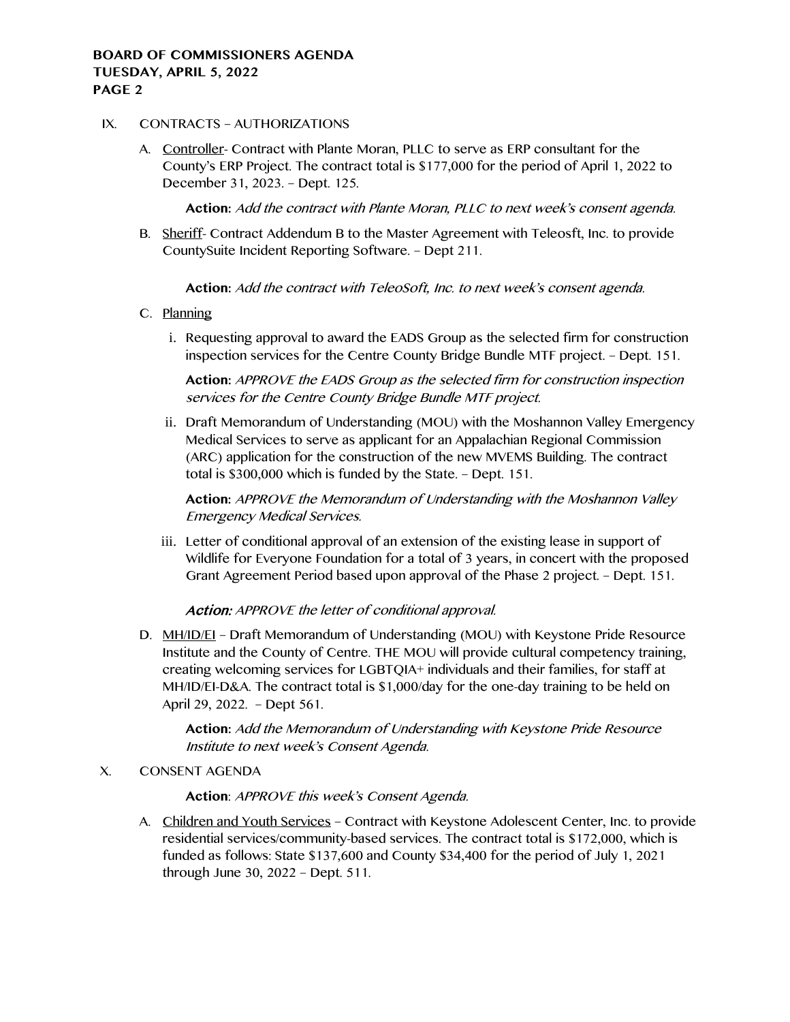# **BOARD OF COMMISSIONERS AGENDA TUESDAY, APRIL 5, 2022 PAGE 2**

## IX. CONTRACTS – AUTHORIZATIONS

A. Controller- Contract with Plante Moran, PLLC to serve as ERP consultant for the County's ERP Project. The contract total is \$177,000 for the period of April 1, 2022 to December 31, 2023. – Dept. 125.

**Action:** Add the contract with Plante Moran, PLLC to next week's consent agenda.

B. Sheriff- Contract Addendum B to the Master Agreement with Teleosft, Inc. to provide CountySuite Incident Reporting Software. – Dept 211.

**Action:** Add the contract with TeleoSoft, Inc. to next week's consent agenda.

- C. Planning
	- i. Requesting approval to award the EADS Group as the selected firm for construction inspection services for the Centre County Bridge Bundle MTF project. – Dept. 151.

**Action:** APPROVE the EADS Group as the selected firm for construction inspection services for the Centre County Bridge Bundle MTF project.

ii. Draft Memorandum of Understanding (MOU) with the Moshannon Valley Emergency Medical Services to serve as applicant for an Appalachian Regional Commission (ARC) application for the construction of the new MVEMS Building. The contract total is \$300,000 which is funded by the State. – Dept. 151.

**Action:** APPROVE the Memorandum of Understanding with the Moshannon Valley Emergency Medical Services.

iii. Letter of conditional approval of an extension of the existing lease in support of Wildlife for Everyone Foundation for a total of 3 years, in concert with the proposed Grant Agreement Period based upon approval of the Phase 2 project. – Dept. 151.

# Action: APPROVE the letter of conditional approval.

D. MH/ID/EI – Draft Memorandum of Understanding (MOU) with Keystone Pride Resource Institute and the County of Centre. THE MOU will provide cultural competency training, creating welcoming services for LGBTQIA+ individuals and their families, for staff at MH/ID/EI-D&A. The contract total is \$1,000/day for the one-day training to be held on April 29, 2022. – Dept 561.

**Action:** Add the Memorandum of Understanding with Keystone Pride Resource Institute to next week's Consent Agenda.

#### X. CONSENT AGENDA

# **Action**: APPROVE this week's Consent Agenda.

A. Children and Youth Services – Contract with Keystone Adolescent Center, Inc. to provide residential services/community-based services. The contract total is \$172,000, which is funded as follows: State \$137,600 and County \$34,400 for the period of July 1, 2021 through June 30, 2022 – Dept. 511.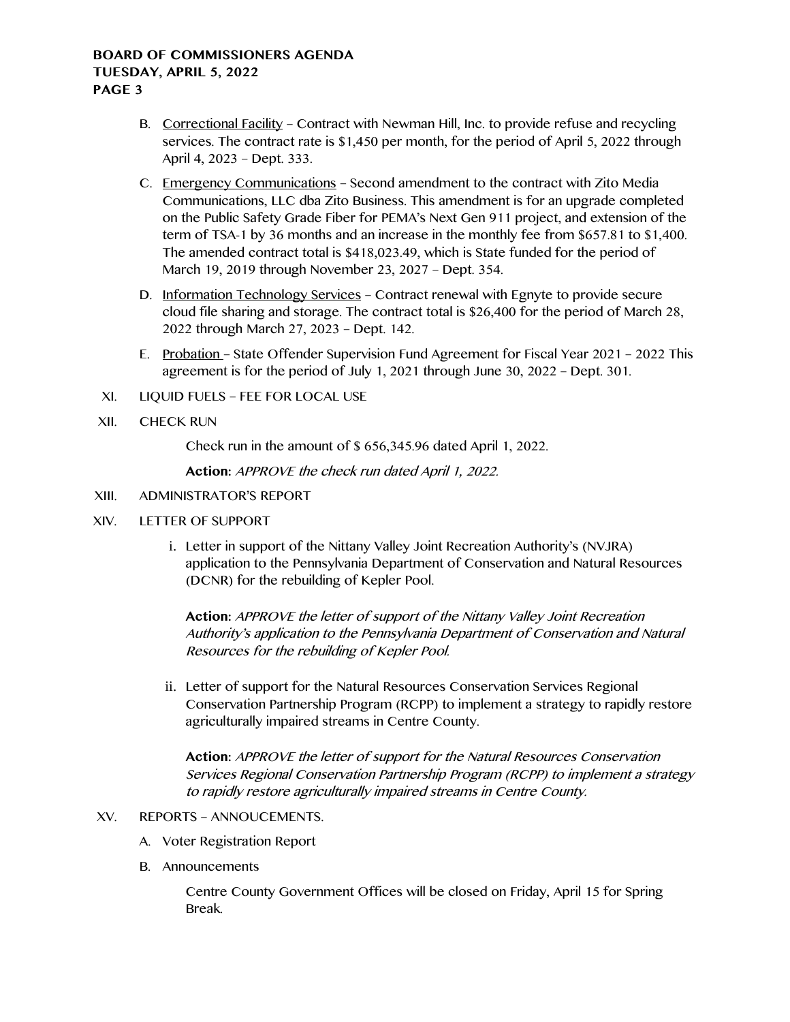# **BOARD OF COMMISSIONERS AGENDA TUESDAY, APRIL 5, 2022 PAGE 3**

- B. Correctional Facility Contract with Newman Hill, Inc. to provide refuse and recycling services. The contract rate is \$1,450 per month, for the period of April 5, 2022 through April 4, 2023 – Dept. 333.
- C. Emergency Communications Second amendment to the contract with Zito Media Communications, LLC dba Zito Business. This amendment is for an upgrade completed on the Public Safety Grade Fiber for PEMA's Next Gen 911 project, and extension of the term of TSA-1 by 36 months and an increase in the monthly fee from \$657.81 to \$1,400. The amended contract total is \$418,023.49, which is State funded for the period of March 19, 2019 through November 23, 2027 – Dept. 354.
- D. Information Technology Services Contract renewal with Egnyte to provide secure cloud file sharing and storage. The contract total is \$26,400 for the period of March 28, 2022 through March 27, 2023 – Dept. 142.
- E. Probation State Offender Supervision Fund Agreement for Fiscal Year 2021 2022 This agreement is for the period of July 1, 2021 through June 30, 2022 – Dept. 301.
- XI. LIQUID FUELS FEE FOR LOCAL USE
- XII. CHECK RUN

Check run in the amount of \$ 656,345.96 dated April 1, 2022.

**Action:** APPROVE the check run dated April 1, 2022.

- XIII. ADMINISTRATOR'S REPORT
- XIV. LETTER OF SUPPORT
	- i. Letter in support of the Nittany Valley Joint Recreation Authority's (NVJRA) application to the Pennsylvania Department of Conservation and Natural Resources (DCNR) for the rebuilding of Kepler Pool.

**Action:** APPROVE the letter of support of the Nittany Valley Joint Recreation Authority's application to the Pennsylvania Department of Conservation and Natural Resources for the rebuilding of Kepler Pool.

ii. Letter of support for the Natural Resources Conservation Services Regional Conservation Partnership Program (RCPP) to implement a strategy to rapidly restore agriculturally impaired streams in Centre County.

**Action:** APPROVE the letter of support for the Natural Resources Conservation Services Regional Conservation Partnership Program (RCPP) to implement a strategy to rapidly restore agriculturally impaired streams in Centre County.

- XV. REPORTS ANNOUCEMENTS.
	- A. Voter Registration Report
	- B. Announcements

Centre County Government Offices will be closed on Friday, April 15 for Spring Break.